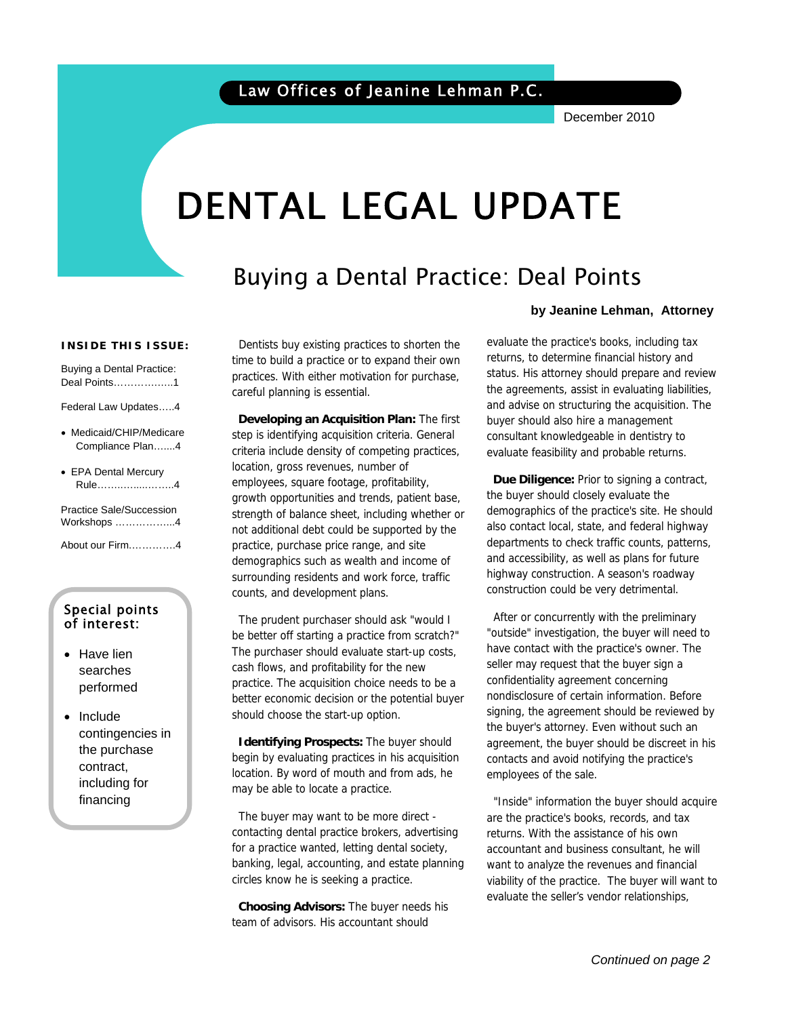December 2010

# DENTAL LEGAL UPDATE

## Buying a Dental Practice: Deal Points

#### **INSIDE THIS ISSUE:**

Buying a Dental Practice: Deal Points………….…..1

Federal Law Updates…..4

- Medicaid/CHIP/Medicare Compliance Plan…....4
- EPA Dental Mercury Rule……..….....……..4

Practice Sale/Succession Workshops ……………...4

About our Firm.………….4

#### Special points of interest:

- Have lien searches performed
- Include contingencies in the purchase contract, including for financing

 Dentists buy existing practices to shorten the time to build a practice or to expand their own practices. With either motivation for purchase, careful planning is essential.

 **Developing an Acquisition Plan:** The first step is identifying acquisition criteria. General criteria include density of competing practices, location, gross revenues, number of employees, square footage, profitability, growth opportunities and trends, patient base, strength of balance sheet, including whether or not additional debt could be supported by the practice, purchase price range, and site demographics such as wealth and income of surrounding residents and work force, traffic counts, and development plans.

 The prudent purchaser should ask "would I be better off starting a practice from scratch?" The purchaser should evaluate start-up costs, cash flows, and profitability for the new practice. The acquisition choice needs to be a better economic decision or the potential buyer should choose the start-up option.

 **Identifying Prospects:** The buyer should begin by evaluating practices in his acquisition location. By word of mouth and from ads, he may be able to locate a practice.

 The buyer may want to be more direct contacting dental practice brokers, advertising for a practice wanted, letting dental society, banking, legal, accounting, and estate planning circles know he is seeking a practice.

 **Choosing Advisors:** The buyer needs his team of advisors. His accountant should

#### **by Jeanine Lehman, Attorney**

evaluate the practice's books, including tax returns, to determine financial history and status. His attorney should prepare and review the agreements, assist in evaluating liabilities, and advise on structuring the acquisition. The buyer should also hire a management consultant knowledgeable in dentistry to evaluate feasibility and probable returns.

 **Due Diligence:** Prior to signing a contract, the buyer should closely evaluate the demographics of the practice's site. He should also contact local, state, and federal highway departments to check traffic counts, patterns, and accessibility, as well as plans for future highway construction. A season's roadway construction could be very detrimental.

 After or concurrently with the preliminary "outside" investigation, the buyer will need to have contact with the practice's owner. The seller may request that the buyer sign a confidentiality agreement concerning nondisclosure of certain information. Before signing, the agreement should be reviewed by the buyer's attorney. Even without such an agreement, the buyer should be discreet in his contacts and avoid notifying the practice's employees of the sale.

 "Inside" information the buyer should acquire are the practice's books, records, and tax returns. With the assistance of his own accountant and business consultant, he will want to analyze the revenues and financial viability of the practice. The buyer will want to evaluate the seller's vendor relationships,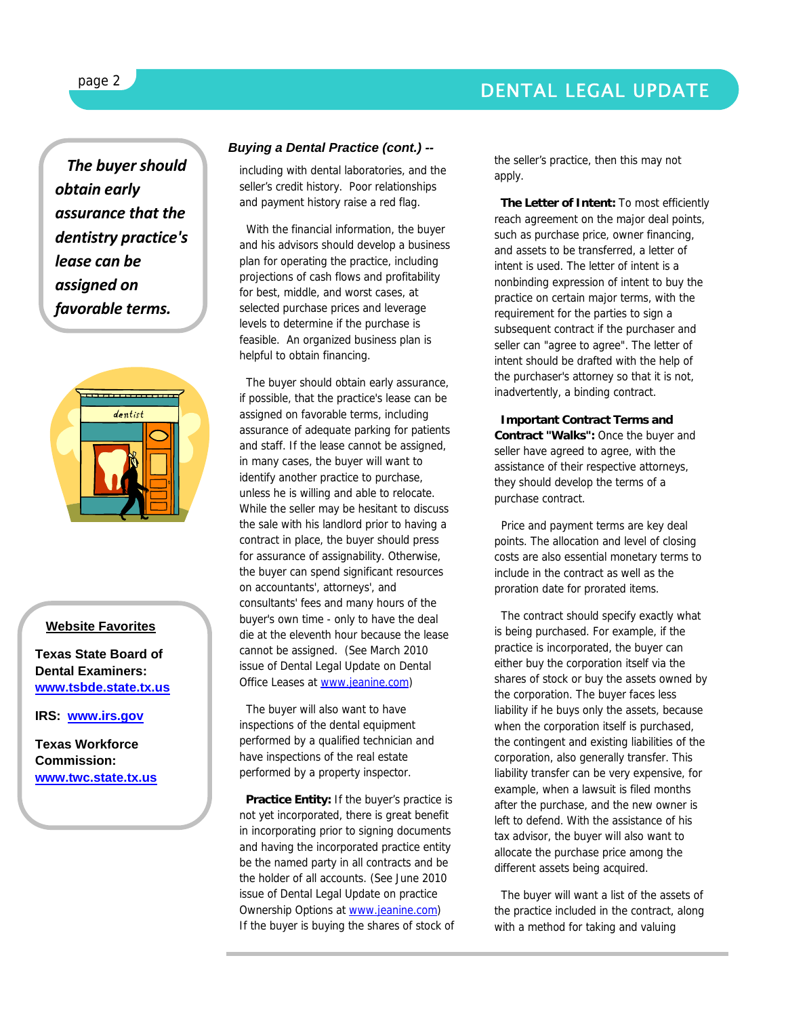## DENTAL LEGAL UPDATE

*The buyer should obtain early assurance that the dentistry practice's lease can be assigned on favorable terms.*



#### **Website Favorites**

**Texas State Board of Dental Examiners: www.tsbde.state.tx.us**

**IRS: www.irs.gov**

**Texas Workforce Commission: www.twc.state.tx.us**

#### *Buying a Dental Practice (cont.) --*

including with dental laboratories, and the seller's credit history. Poor relationships and payment history raise a red flag.

 With the financial information, the buyer and his advisors should develop a business plan for operating the practice, including projections of cash flows and profitability for best, middle, and worst cases, at selected purchase prices and leverage levels to determine if the purchase is feasible. An organized business plan is helpful to obtain financing.

 The buyer should obtain early assurance, if possible, that the practice's lease can be assigned on favorable terms, including assurance of adequate parking for patients and staff. If the lease cannot be assigned, in many cases, the buyer will want to identify another practice to purchase, unless he is willing and able to relocate. While the seller may be hesitant to discuss the sale with his landlord prior to having a contract in place, the buyer should press for assurance of assignability. Otherwise, the buyer can spend significant resources on accountants', attorneys', and consultants' fees and many hours of the buyer's own time - only to have the deal die at the eleventh hour because the lease cannot be assigned. (See March 2010 issue of Dental Legal Update on Dental Office Leases at www.jeanine.com)

 The buyer will also want to have inspections of the dental equipment performed by a qualified technician and have inspections of the real estate performed by a property inspector.

 **Practice Entity:** If the buyer's practice is not yet incorporated, there is great benefit in incorporating prior to signing documents and having the incorporated practice entity be the named party in all contracts and be the holder of all accounts. (See June 2010 issue of Dental Legal Update on practice Ownership Options at www.jeanine.com) If the buyer is buying the shares of stock of the seller's practice, then this may not apply.

 **The Letter of Intent:** To most efficiently reach agreement on the major deal points, such as purchase price, owner financing, and assets to be transferred, a letter of intent is used. The letter of intent is a nonbinding expression of intent to buy the practice on certain major terms, with the requirement for the parties to sign a subsequent contract if the purchaser and seller can "agree to agree". The letter of intent should be drafted with the help of the purchaser's attorney so that it is not, inadvertently, a binding contract.

 **Important Contract Terms and Contract "Walks":** Once the buyer and seller have agreed to agree, with the assistance of their respective attorneys, they should develop the terms of a purchase contract.

 Price and payment terms are key deal points. The allocation and level of closing costs are also essential monetary terms to include in the contract as well as the proration date for prorated items.

 The contract should specify exactly what is being purchased. For example, if the practice is incorporated, the buyer can either buy the corporation itself via the shares of stock or buy the assets owned by the corporation. The buyer faces less liability if he buys only the assets, because when the corporation itself is purchased, the contingent and existing liabilities of the corporation, also generally transfer. This liability transfer can be very expensive, for example, when a lawsuit is filed months after the purchase, and the new owner is left to defend. With the assistance of his tax advisor, the buyer will also want to allocate the purchase price among the different assets being acquired.

 The buyer will want a list of the assets of the practice included in the contract, along with a method for taking and valuing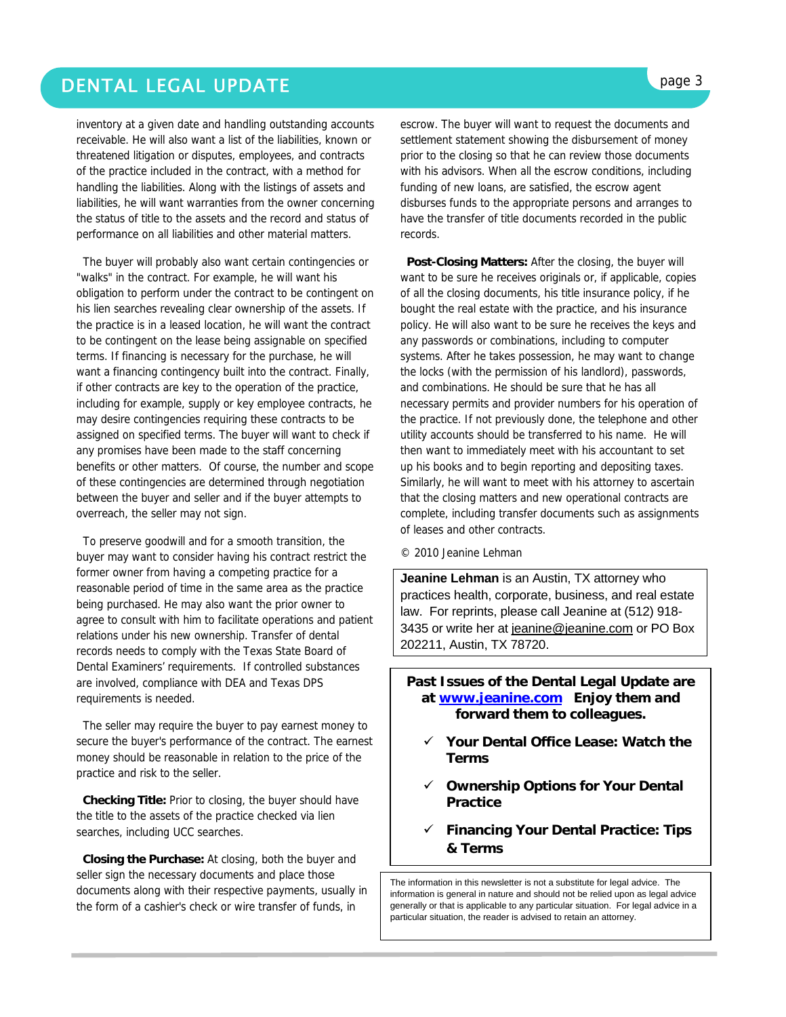## DENTAL LEGAL UPDATE **page 3**

inventory at a given date and handling outstanding accounts receivable. He will also want a list of the liabilities, known or threatened litigation or disputes, employees, and contracts of the practice included in the contract, with a method for handling the liabilities. Along with the listings of assets and liabilities, he will want warranties from the owner concerning the status of title to the assets and the record and status of performance on all liabilities and other material matters.

 The buyer will probably also want certain contingencies or "walks" in the contract. For example, he will want his obligation to perform under the contract to be contingent on his lien searches revealing clear ownership of the assets. If the practice is in a leased location, he will want the contract to be contingent on the lease being assignable on specified terms. If financing is necessary for the purchase, he will want a financing contingency built into the contract. Finally, if other contracts are key to the operation of the practice, including for example, supply or key employee contracts, he may desire contingencies requiring these contracts to be assigned on specified terms. The buyer will want to check if any promises have been made to the staff concerning benefits or other matters. Of course, the number and scope of these contingencies are determined through negotiation between the buyer and seller and if the buyer attempts to overreach, the seller may not sign.

 To preserve goodwill and for a smooth transition, the buyer may want to consider having his contract restrict the former owner from having a competing practice for a reasonable period of time in the same area as the practice being purchased. He may also want the prior owner to agree to consult with him to facilitate operations and patient relations under his new ownership. Transfer of dental records needs to comply with the Texas State Board of Dental Examiners' requirements. If controlled substances are involved, compliance with DEA and Texas DPS requirements is needed.

 The seller may require the buyer to pay earnest money to secure the buyer's performance of the contract. The earnest money should be reasonable in relation to the price of the practice and risk to the seller.

 **Checking Title:** Prior to closing, the buyer should have the title to the assets of the practice checked via lien searches, including UCC searches.

 **Closing the Purchase:** At closing, both the buyer and seller sign the necessary documents and place those documents along with their respective payments, usually in the form of a cashier's check or wire transfer of funds, in

escrow. The buyer will want to request the documents and settlement statement showing the disbursement of money prior to the closing so that he can review those documents with his advisors. When all the escrow conditions, including funding of new loans, are satisfied, the escrow agent disburses funds to the appropriate persons and arranges to have the transfer of title documents recorded in the public records.

 **Post-Closing Matters:** After the closing, the buyer will want to be sure he receives originals or, if applicable, copies of all the closing documents, his title insurance policy, if he bought the real estate with the practice, and his insurance policy. He will also want to be sure he receives the keys and any passwords or combinations, including to computer systems. After he takes possession, he may want to change the locks (with the permission of his landlord), passwords, and combinations. He should be sure that he has all necessary permits and provider numbers for his operation of the practice. If not previously done, the telephone and other utility accounts should be transferred to his name. He will then want to immediately meet with his accountant to set up his books and to begin reporting and depositing taxes. Similarly, he will want to meet with his attorney to ascertain that the closing matters and new operational contracts are complete, including transfer documents such as assignments of leases and other contracts.

© 2010 Jeanine Lehman

**Jeanine Lehman** is an Austin, TX attorney who practices health, corporate, business, and real estate law. For reprints, please call Jeanine at (512) 918- 3435 or write her at jeanine@jeanine.com or PO Box 202211, Austin, TX 78720.

**Past Issues of the Dental Legal Update are at www.jeanine.com Enjoy them and forward them to colleagues.** 

- 9 **Your Dental Office Lease: Watch the Terms**
- 9 **Ownership Options for Your Dental Practice**
- 9 **Financing Your Dental Practice: Tips & Terms**

The information in this newsletter is not a substitute for legal advice. The information is general in nature and should not be relied upon as legal advice generally or that is applicable to any particular situation. For legal advice in a particular situation, the reader is advised to retain an attorney.